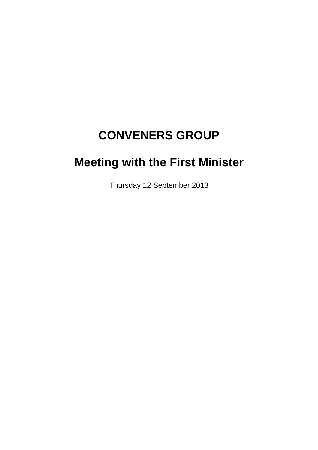# **CONVENERS GROUP**

# **Meeting with the First Minister**

Thursday 12 September 2013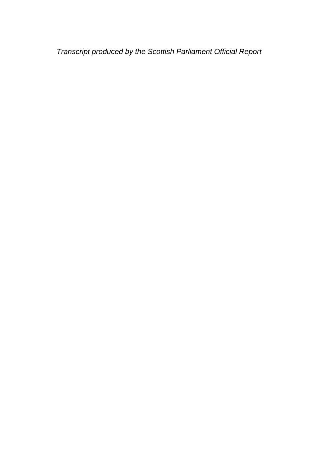*Transcript produced by the Scottish Parliament Official Report*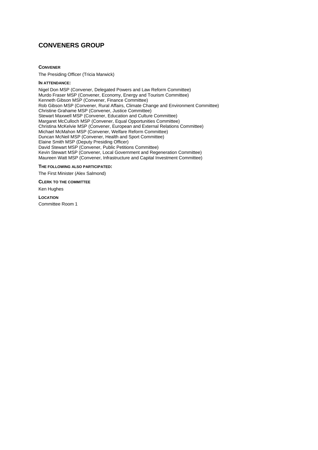### **CONVENERS GROUP**

**CONVENER**

The Presiding Officer (Tricia Marwick)

#### **IN ATTENDANCE:**

Nigel Don MSP (Convener, Delegated Powers and Law Reform Committee) Murdo Fraser MSP (Convener, Economy, Energy and Tourism Committee) Kenneth Gibson MSP (Convener, Finance Committee) Rob Gibson MSP (Convener, Rural Affairs, Climate Change and Environment Committee) Christine Grahame MSP (Convener, Justice Committee) Stewart Maxwell MSP (Convener, Education and Culture Committee) Margaret McCulloch MSP (Convener, Equal Opportunities Committee) Christina McKelvie MSP (Convener, European and External Relations Committee) Michael McMahon MSP (Convener, Welfare Reform Committee) Duncan McNeil MSP (Convener, Health and Sport Committee) Elaine Smith MSP (Deputy Presiding Officer) David Stewart MSP (Convener, Public Petitions Committee) Kevin Stewart MSP (Convener, Local Government and Regeneration Committee) Maureen Watt MSP (Convener, Infrastructure and Capital Investment Committee)

#### **THE FOLLOWING ALSO PARTICIPATED:**

The First Minister (Alex Salmond)

#### **CLERK TO THE COMMITTEE**

Ken Hughes

#### **LOCATION**

Committee Room 1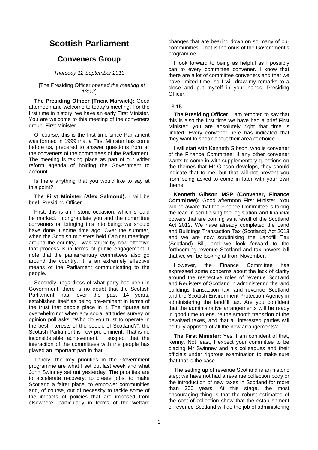## **Scottish Parliament**

### **Conveners Group**

#### *Thursday 12 September 2013*

#### [The Presiding Officer *opened the meeting at 13:12*]

**The Presiding Officer (Tricia Marwick):** Good afternoon and welcome to today's meeting. For the first time in history, we have an early First Minister. You are welcome to this meeting of the conveners group, First Minister.

Of course, this is the first time since Parliament was formed in 1999 that a First Minister has come before us, prepared to answer questions from all the conveners of the committees of the Parliament. The meeting is taking place as part of our wider reform agenda of holding the Government to account.

Is there anything that you would like to say at this point?

#### **The First Minister (Alex Salmond):** I will be brief, Presiding Officer.

First, this is an historic occasion, which should be marked. I congratulate you and the committee conveners on bringing this into being; we should have done it some time ago. Over the summer, when the Scottish ministers held Cabinet meetings around the country, I was struck by how effective that process is in terms of public engagement; I note that the parliamentary committees also go around the country. It is an extremely effective means of the Parliament communicating to the people.

Secondly, regardless of what party has been in Government, there is no doubt that the Scottish Parliament has, over the past 14 years, established itself as being pre-eminent in terms of the trust that people place in it. The figures are overwhelming: when any social attitudes survey or opinion poll asks, "Who do you trust to operate in the best interests of the people of Scotland?", the Scottish Parliament is now pre-eminent. That is no inconsiderable achievement. I suspect that the interaction of the committees with the people has played an important part in that.

Thirdly, the key priorities in the Government programme are what I set out last week and what John Swinney set out yesterday. The priorities are to accelerate recovery, to create jobs, to make Scotland a fairer place, to empower communities and, of course, out of necessity to tackle some of the impacts of policies that are imposed from elsewhere, particularly in terms of the welfare

changes that are bearing down on so many of our communities. That is the onus of the Government's programme.

I look forward to being as helpful as I possibly can to every committee convener. I know that there are a lot of committee conveners and that we have limited time, so I will draw my remarks to a close and put myself in your hands, Presiding **Officer** 

#### 13:15

**The Presiding Officer:** I am tempted to say that this is also the first time we have had a brief First Minister: you are absolutely right that time is limited. Every convener here has indicated that they want to speak about their area of choice.

I will start with Kenneth Gibson, who is convener of the Finance Committee. If any other convener wants to come in with supplementary questions on the themes that Mr Gibson develops, they should indicate that to me, but that will not prevent you from being asked to come in later with your own theme.

**Kenneth Gibson MSP (Convener, Finance Committee):** Good afternoon First Minister. You will be aware that the Finance Committee is taking the lead in scrutinising the legislation and financial powers that are coming as a result of the Scotland Act 2012. We have already completed the Land and Buildings Transaction Tax (Scotland) Act 2013 and we are now scrutinising the Landfill Tax (Scotland) Bill, and we look forward to the forthcoming revenue Scotland and tax powers bill that we will be looking at from November.

However, the Finance Committee has expressed some concerns about the lack of clarity around the respective roles of revenue Scotland and Registers of Scotland in administering the land buildings transaction tax, and revenue Scotland and the Scottish Environment Protection Agency in administering the landfill tax. Are you confident that the administrative arrangements will be ready in good time to ensure the smooth transition of the devolved taxes, and that all interested parties will be fully apprised of all the new arrangements?

**The First Minister:** Yes, I am confident of that, Kenny. Not least, I expect your committee to be placing Mr Swinney and his colleagues and their officials under rigorous examination to make sure that that is the case.

The setting up of revenue Scotland is an historic step; we have not had a revenue collection body or the introduction of new taxes in Scotland for more than 300 years. At this stage, the most encouraging thing is that the robust estimates of the cost of collection show that the establishment of revenue Scotland will do the job of administering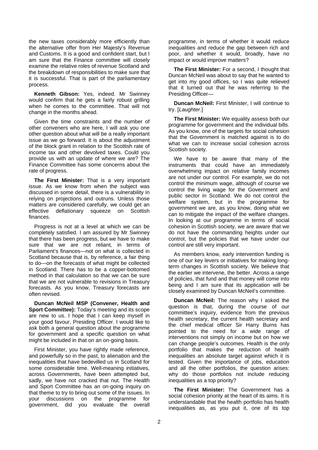the new taxes considerably more efficiently than the alternative offer from Her Majesty's Revenue and Customs. It is a good and confident start, but I am sure that the Finance committee will closely examine the relative roles of revenue Scotland and the breakdown of responsibilities to make sure that it is successful. That is part of the parliamentary process.

**Kenneth Gibson:** Yes, indeed. Mr Swinney would confirm that he gets a fairly robust grilling when he comes to the committee. That will not change in the months ahead.

Given the time constraints and the number of other conveners who are here, I will ask you one other question about what will be a really important issue as we go forward. It is about the adjustment of the block grant in relation to the Scottish rate of income tax and other devolved taxes. Could you provide us with an update of where we are? The Finance Committee has some concerns about the rate of progress.

**The First Minister:** That is a very important issue. As we know from when the subject was discussed in some detail, there is a vulnerability in relying on projections and outruns. Unless those matters are considered carefully, we could get an effective deflationary squeeze on Scottish finances.

Progress is not at a level at which we can be completely satisfied. I am assured by Mr Swinney that there has been progress, but we have to make sure that we are not reliant, in terms of Parliament's finances—not on what is collected in Scotland because that is, by reference, a fair thing to do—on the forecasts of what might be collected in Scotland. There has to be a copper-bottomed method in that calculation so that we can be sure that we are not vulnerable to revisions in Treasury forecasts. As you know, Treasury forecasts are often revised.

**Duncan McNeil MSP (Convener, Health and Sport Committee):** Today's meeting and its scope are new to us. I hope that I can keep myself in your good favour, Presiding Officer. I would like to ask both a general question about the programme for government and a specific question on what might be included in that on an on-going basis.

First Minister, you have rightly made reference, and powerfully so in the past, to alienation and the inequalities that have bedevilled us in Scotland for some considerable time. Well-meaning initiatives, across Governments, have been attempted but, sadly, we have not cracked that nut. The Health and Sport Committee has an on-going inquiry on that theme to try to bring out some of the issues. In your discussions on the programme for government, did you evaluate the overall

programme, in terms of whether it would reduce inequalities and reduce the gap between rich and poor, and whether it would, broadly, have no impact or would improve matters?

**The First Minister:** For a second, I thought that Duncan McNeil was about to say that he wanted to get into my good offices, so I was quite relieved that it turned out that he was referring to the Presiding Officer—

**Duncan McNeil:** First Minister, I will continue to try. [*Laughter*.]

**The First Minister:** We equality assess both our programme for government and the individual bills. As you know, one of the targets for social cohesion that the Government is matched against is to do what we can to increase social cohesion across Scottish society.

We have to be aware that many of the instruments that could have an immediately overwhelming impact on relative family incomes are not under our control. For example, we do not control the minimum wage, although of course we control the living wage for the Government and public sector in Scotland. We do not control the welfare system, but in the programme for government we are, as you know, doing what we can to mitigate the impact of the welfare changes. In looking at our programme in terms of social cohesion in Scottish society, we are aware that we do not have the commanding heights under our control, but the policies that we have under our control are still very important.

As members know, early intervention funding is one of our key levers or initiatives for making longterm changes in Scottish society. We believe that the earlier we intervene, the better. Across a range of policies, that fund and that money will come into being and I am sure that its application will be closely examined by Duncan McNeil's committee.

**Duncan McNeil:** The reason why I asked the question is that, during the course of our committee's inquiry, evidence from the previous health secretary, the current health secretary and the chief medical officer Sir Harry Burns has pointed to the need for a wide range of interventions not simply on income but on how we can change people's outcomes. Health is the only portfolio that makes the reduction of health inequalities an absolute target against which it is tested. Given the importance of jobs, education and all the other portfolios, the question arises: why do those portfolios not include reducing inequalities as a top priority?

**The First Minister:** The Government has a social cohesion priority at the heart of its aims. It is understandable that the health portfolio has health inequalities as, as you put it, one of its top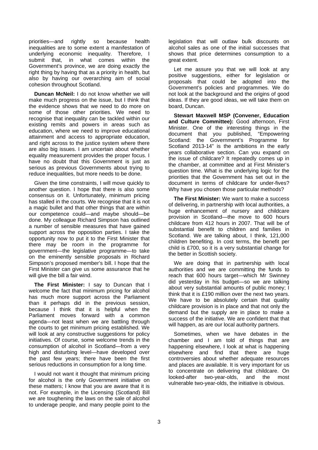priorities—and rightly so because health inequalities are to some extent a manifestation of underlying economic inequality. Therefore, I submit that, in what comes within the Government's province, we are doing exactly the right thing by having that as a priority in health, but also by having our overarching aim of social cohesion throughout Scotland.

**Duncan McNeil:** I do not know whether we will make much progress on the issue, but I think that the evidence shows that we need to do more on some of those other priorities. We need to recognise that inequality can be tackled within our existing remits and powers in areas such as education, where we need to improve educational attainment and access to appropriate education, and right across to the justice system where there are also big issues. I am uncertain about whether equality measurement provides the proper focus. I have no doubt that this Government is just as serious as previous Governments about trying to reduce inequalities, but more needs to be done.

Given the time constraints, I will move quickly to another question. I hope that there is also some consensus on it. Unfortunately, minimum pricing has stalled in the courts. We recognise that it is not a magic bullet and that other things that are within our competence could—and maybe should—be done. My colleague Richard Simpson has outlined a number of sensible measures that have gained support across the opposition parties. I take the opportunity now to put it to the First Minister that there may be room in the programme for government—the legislative programme—to take on the eminently sensible proposals in Richard Simpson's proposed member's bill. I hope that the First Minister can give us some assurance that he will give the bill a fair wind.

**The First Minister:** I say to Duncan that I welcome the fact that minimum pricing for alcohol has much more support across the Parliament than it perhaps did in the previous session, because I think that it is helpful when the Parliament moves forward with a common agenda—not least when we are battling through the courts to get minimum pricing established. We will look at any constructive suggestions for policy initiatives. Of course, some welcome trends in the consumption of alcohol in Scotland—from a very high and disturbing level—have developed over the past few years; there have been the first serious reductions in consumption for a long time.

I would not want it thought that minimum pricing for alcohol is the only Government initiative on these matters; I know that you are aware that it is not. For example, in the Licensing (Scotland) Bill we are toughening the laws on the sale of alcohol to underage people, and many people point to the

legislation that will outlaw bulk discounts on alcohol sales as one of the initial successes that shows that price determines consumption to a great extent.

Let me assure you that we will look at any positive suggestions, either for legislation or proposals that could be adopted into the Government's policies and programmes. We do not look at the background and the origins of good ideas. If they are good ideas, we will take them on board, Duncan.

**Stewart Maxwell MSP (Convener, Education and Culture Committee):** Good afternoon, First Minister. One of the interesting things in the document that you published, "Empowering Scotland: the Government's Programme for Scotland 2013-14" is the ambitions in the early years collaborative section. Can you expand on the issue of childcare? It repeatedly comes up in the chamber, at committee and at First Minister's question time. What is the underlying logic for the priorities that the Government has set out in the document in terms of childcare for under-fives? Why have you chosen those particular methods?

**The First Minister:** We want to make a success of delivering, in partnership with local authorities, a huge enhancement of nursery and childcare provision in Scotland—the move to 600 hours childcare from 412 hours in 2007. That will be of substantial benefit to children and families in Scotland. We are talking about, I think, 121,000 children benefiting. In cost terms, the benefit per child is £700, so it is a very substantial change for the better in Scottish society.

We are doing that in partnership with local authorities and we are committing the funds to reach that 600 hours target—which Mr Swinney did yesterday in his budget—so we are talking about very substantial amounts of public money; I think that it is £190 million over the next two years. We have to be absolutely certain that quality childcare provision is in place and that not only the demand but the supply are in place to make a success of the initiative. We are confident that that will happen, as are our local authority partners.

Sometimes, when we have debates in the chamber and I am told of things that are happening elsewhere, I look at what is happening elsewhere and find that there are huge controversies about whether adequate resources and places are available. It is very important for us to concentrate on delivering that childcare. On<br>looked-after two-year-olds, and the most looked-after two-year-olds, vulnerable two-year-olds, the initiative is obvious.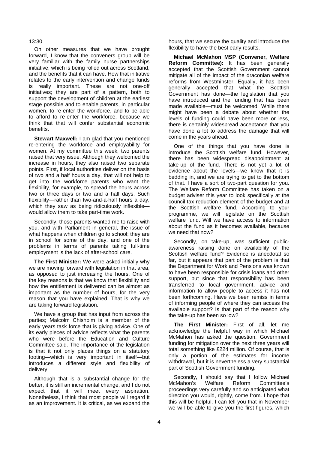#### 13:30

On other measures that we have brought forward, I know that the conveners group will be very familiar with the family nurse partnerships initiative, which is being rolled out across Scotland, and the benefits that it can have. How that initiative relates to the early intervention and change funds is really important. These are not one-off initiatives; they are part of a pattern, both to support the development of children at the earliest stage possible and to enable parents, in particular women, to re-enter the workforce, and to be able to afford to re-enter the workforce, because we think that that will confer substantial economic benefits.

**Stewart Maxwell:** I am glad that you mentioned re-entering the workforce and employability for women. At my committee this week, two parents raised that very issue. Although they welcomed the increase in hours, they also raised two separate points. First, if local authorities deliver on the basis of two and a half hours a day, that will not help to get into the workforce parents who want the flexibility, for example, to spread the hours across two or three days or two and a half days. Such flexibility—rather than two-and-a-half hours a day, which they saw as being ridiculously inflexiblewould allow them to take part-time work.

Secondly, those parents wanted me to raise with you, and with Parliament in general, the issue of what happens when children go to school; they are in school for some of the day, and one of the problems in terms of parents taking full-time employment is the lack of after-school care.

**The First Minister:** We were asked initially why we are moving forward with legislation in that area, as opposed to just increasing the hours. One of the key reasons is that we know that flexibility and how the entitlement is delivered can be almost as important as the number of hours, for the very reason that you have explained. That is why we are taking forward legislation.

We have a group that has input from across the parties; Malcolm Chisholm is a member of the early years task force that is giving advice. One of its early pieces of advice reflects what the parents who were before the Education and Culture Committee said. The importance of the legislation is that it not only places things on a statutory footing—which is very important in itself—but introduces a different style and flexibility of delivery.

Although that is a substantial change for the better, it is still an incremental change, and I do not expect that it will meet every aspiration. Nonetheless, I think that most people will regard it as an improvement. It is critical, as we expand the

hours, that we secure the quality and introduce the flexibility to have the best early results.

**Michael McMahon MSP (Convener, Welfare Reform Committee):** It has been generally accepted that the Scottish Government cannot mitigate all of the impact of the draconian welfare reforms from Westminster. Equally, it has been generally accepted that what the Scottish Government has done—the legislation that you have introduced and the funding that has been made available—must be welcomed. While there might have been a debate about whether the levels of funding could have been more or less, there is certainly widespread acceptance that you have done a lot to address the damage that will come in the years ahead.

One of the things that you have done is introduce the Scottish welfare fund. However, there has been widespread disappointment at take-up of the fund. There is not yet a lot of evidence about the levels—we know that it is bedding in, and we are trying to get to the bottom of that. I have a sort of two-part question for you. The Welfare Reform Committee has taken on a budget adviser this year to look specifically at the council tax reduction element of the budget and at the Scottish welfare fund. According to your programme, we will legislate on the Scottish welfare fund. Will we have access to information about the fund as it becomes available, because we need that now?

Secondly, on take-up, was sufficient publicawareness raising done on availability of the Scottish welfare fund? Evidence is anecdotal so far, but it appears that part of the problem is that the Department for Work and Pensions was known to have been responsible for crisis loans and other support, but since that responsibility has been transferred to local government, advice and information to allow people to access it has not been forthcoming. Have we been remiss in terms of informing people of where they can access the available support? Is that part of the reason why the take-up has been so low?

**The First Minister:** First of all, let me acknowledge the helpful way in which Michael McMahon has asked the question. Government funding for mitigation over the next three years will total something like £224 million. Of course, that is only a portion of the estimates for income withdrawal, but it is nevertheless a very substantial part of Scottish Government funding.

Secondly, I should say that I follow Michael<br>cMahon's Welfare Reform Committee's McMahon's Welfare Reform Committee's proceedings very carefully and so anticipated what direction you would, rightly, come from. I hope that this will be helpful. I can tell you that in November we will be able to give you the first figures, which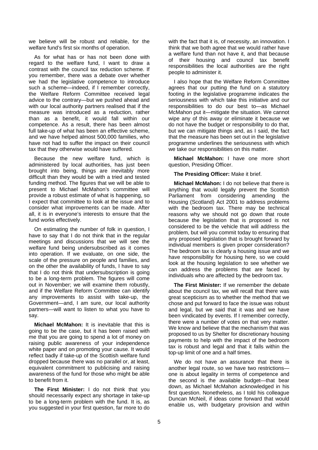we believe will be robust and reliable, for the welfare fund's first six months of operation.

As for what has or has not been done with regard to the welfare fund, I want to draw a contrast with the council tax reduction scheme. If you remember, there was a debate over whether we had the legislative competence to introduce such a scheme—indeed, if I remember correctly, the Welfare Reform Committee received legal advice to the contrary—but we pushed ahead and with our local authority partners realised that if the measure was introduced as a reduction, rather than as a benefit, it would fall within our competence. As a result, there has been almost full take-up of what has been an effective scheme, and we have helped almost 500,000 families, who have not had to suffer the impact on their council tax that they otherwise would have suffered.

Because the new welfare fund, which is administered by local authorities, has just been brought into being, things are inevitably more difficult than they would be with a tried and tested funding method. The figures that we will be able to present to Michael McMahon's committee will provide a robust estimate of what is happening, so I expect that committee to look at the issue and to consider what improvements can be made. After all, it is in everyone's interests to ensure that the fund works effectively.

On estimating the number of folk in question, I have to say that I do not think that in the regular meetings and discussions that we will see the welfare fund being undersubscribed as it comes into operation. If we evaluate, on one side, the scale of the pressure on people and families, and on the other the availability of funds, I have to say that I do not think that undersubscription is going to be a long-term problem. The figures will come out in November; we will examine them robustly, and if the Welfare Reform Committee can identify any improvements to assist with take-up, the Government—and, I am sure, our local authority partners—will want to listen to what you have to say.

**Michael McMahon:** It is inevitable that this is going to be the case, but it has been raised with me that you are going to spend a lot of money on raising public awareness of your independence white paper and on promoting your cause. It would reflect badly if take-up of the Scottish welfare fund dropped because there was no parallel or, at least, equivalent commitment to publicising and raising awareness of the fund for those who might be able to benefit from it.

**The First Minister:** I do not think that you should necessarily expect any shortage in take-up to be a long-term problem with the fund. It is, as you suggested in your first question, far more to do

with the fact that it is, of necessity, an innovation. I think that we both agree that we would rather have a welfare fund than not have it, and that because of their housing and council tax benefit responsibilities the local authorities are the right people to administer it.

I also hope that the Welfare Reform Committee agrees that our putting the fund on a statutory footing in the legislative programme indicates the seriousness with which take this initiative and our responsibilities to do our best to—as Michael McMahon put it—mitigate the situation. We cannot wipe any of this away or eliminate it because we do not have the budget or responsibility to do that, but we can mitigate things and, as I said, the fact that the measure has been set out in the legislative programme underlines the seriousness with which we take our responsibilities on this matter.

**Michael McMahon:** I have one more short question, Presiding Officer.

**The Presiding Officer:** Make it brief.

**Michael McMahon:** I do not believe that there is anything that would legally prevent the Scottish Parliament from considering amending the Housing (Scotland) Act 2001 to address problems with the bedroom tax. There may be technical reasons why we should not go down that route because the legislation that is proposed is not considered to be the vehicle that will address the problem, but will you commit today to ensuring that any proposed legislation that is brought forward by individual members is given proper consideration? The bedroom tax is clearly a housing issue and we have responsibility for housing here, so we could look at the housing legislation to see whether we can address the problems that are faced by individuals who are affected by the bedroom tax.

**The First Minister:** If we remember the debate about the council tax, we will recall that there was great scepticism as to whether the method that we chose and put forward to face the issue was robust and legal, but we said that it was and we have been vindicated by events. If I remember correctly, there were a number of votes on that very matter. We know and believe that the mechanism that was proposed to us by Shelter for discretionary housing payments to help with the impact of the bedroom tax is robust and legal and that it falls within the top-up limit of one and a half times.

We do not have an assurance that there is another legal route, so we have two restrictions one is about legality in terms of competence and the second is the available budget—that bear down, as Michael McMahon acknowledged in his first question. Nonetheless, as I told his colleague Duncan McNeil, if ideas come forward that would enable us, with budgetary provision and within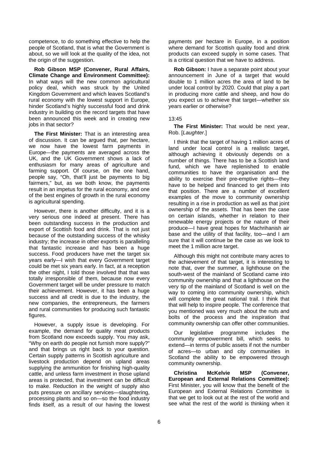competence, to do something effective to help the people of Scotland, that is what the Government is about, so we will look at the quality of the idea, not the origin of the suggestion.

**Rob Gibson MSP (Convener, Rural Affairs, Climate Change and Environment Committee):**  In what ways will the new common agricultural policy deal, which was struck by the United Kingdom Government and which leaves Scotland's rural economy with the lowest support in Europe, hinder Scotland's highly successful food and drink industry in building on the record targets that have been announced this week and in creating new jobs in that sector?

**The First Minister:** That is an interesting area of discussion. It can be argued that, per hectare, we now have the lowest farm payments in Europe—the payments are averaged across the UK, and the UK Government shows a lack of enthusiasm for many areas of agriculture and farming support. Of course, on the one hand, people say, "Oh, that'll just be payments to big fairmers," but, as we both know, the payments result in an impetus for the rural economy, and one of the best engines of growth in the rural economy is agricultural spending.

However, there is another difficulty, and it is a very serious one indeed at present. There has been outstanding success in the production and export of Scottish food and drink. That is not just because of the outstanding success of the whisky industry; the increase in other exports is paralleling that fantastic increase and has been a huge success. Food producers have met the target six years early—I wish that every Government target could be met six years early. In fact, at a reception the other night, I told those involved that that was totally irresponsible of them, because now every Government target will be under pressure to match their achievement. However, it has been a huge success and all credit is due to the industry, the new companies, the entrepreneurs, the farmers and rural communities for producing such fantastic figures.

However, a supply issue is developing. For example, the demand for quality meat products from Scotland now exceeds supply. You may ask, "Why on earth do people not furnish more supply?" and that brings us right back to your question. Certain supply patterns in Scottish agriculture and livestock production depend on upland areas supplying the ammunition for finishing high-quality cattle, and unless farm investment in those upland areas is protected, that investment can be difficult to make. Reduction in the weight of supply also puts pressure on ancillary services—slaughtering, processing plants and so on—so the food industry finds itself, as a result of our having the lowest payments per hectare in Europe, in a position where demand for Scottish quality food and drink products can exceed supply in some cases. That is a critical question that we have to address.

**Rob Gibson:** I have a separate point about your announcement in June of a target that would double to 1 million acres the area of land to be under local control by 2020. Could that play a part in producing more cattle and sheep, and how do you expect us to achieve that target—whether six years earlier or otherwise?

#### 13:45

**The First Minister:** That would be next year, Rob. [*Laughter*.]

I think that the target of having 1 million acres of land under local control is a realistic target. although achieving it obviously depends on a number of things. There has to be a Scottish land fund, which we have replenished to enable communities to have the organisation and the ability to exercise their pre-emptive rights—they have to be helped and financed to get them into that position. There are a number of excellent examples of the move to community ownership resulting in a rise in production as well as that joint ownership of the assets. That has been the case on certain islands, whether in relation to their renewable energy projects or the nature of their produce—I have great hopes for Machrihanish air base and the utility of that facility, too—and I am sure that it will continue be the case as we look to meet the 1 million acre target.

Although this might not contribute many acres to the achievement of that target, it is interesting to note that, over the summer, a lighthouse on the south-west of the mainland of Scotland came into community ownership and that a lighthouse on the very tip of the mainland of Scotland is well on the way to coming into community ownership, which will complete the great national trail. I think that that will help to inspire people. The conference that you mentioned was very much about the nuts and bolts of the process and the inspiration that community ownership can offer other communities.

Our legislative programme includes the community empowerment bill, which seeks to extend—in terms of public assets if not the number of acres—to urban and city communities in Scotland the ability to be empowered through community ownership.

**Christina McKelvie MSP (Convener, European and External Relations Committee):**  First Minister, you will know that the benefit of the European and External Relations Committee is that we get to look out at the rest of the world and see what the rest of the world is thinking when it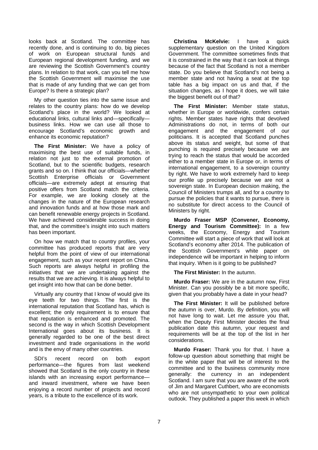looks back at Scotland. The committee has recently done, and is continuing to do, big pieces of work on European structural funds and European regional development funding, and we are reviewing the Scottish Government's country plans. In relation to that work, can you tell me how the Scottish Government will maximise the use that is made of any funding that we can get from Europe? Is there a strategic plan?

My other question ties into the same issue and relates to the country plans: how do we develop Scotland's place in the world? We looked at educational links, cultural links and—specifically business links. How we can use all those to encourage Scotland's economic growth and enhance its economic reputation?

**The First Minister:** We have a policy of maximising the best use of suitable funds, in relation not just to the external promotion of Scotland, but to the scientific budgets, research grants and so on. I think that our officials—whether Scottish Enterprise officials or Government officials—are extremely adept at ensuring that positive offers from Scotland match the criteria. For example, we are looking closely at the changes in the nature of the European research and innovation funds and at how those mark and can benefit renewable energy projects in Scotland. We have achieved considerable success in doing that, and the committee's insight into such matters has been important.

On how we match that to country profiles, your committee has produced reports that are very helpful from the point of view of our international engagement, such as your recent report on China. Such reports are always helpful in profiling the initiatives that we are undertaking against the results that we are achieving. It is always helpful to get insight into how that can be done better.

Virtually any country that I know of would give its eye teeth for two things. The first is the international reputation that Scotland has, which is excellent; the only requirement is to ensure that that reputation is enhanced and promoted. The second is the way in which Scottish Development International goes about its business. It is generally regarded to be one of the best direct investment and trade organisations in the world and is the envy of many other countries.

SDI's recent record on both export performance—the figures from last weekend showed that Scotland is the only country in these islands with an increasing export performance and inward investment, where we have been enjoying a record number of projects and record years, is a tribute to the excellence of its work.

**Christina McKelvie:** I have a quick supplementary question on the United Kingdom Government. The committee sometimes finds that it is constrained in the way that it can look at things because of the fact that Scotland is not a member state. Do you believe that Scotland's not being a member state and not having a seat at the top table has a big impact on us and that, if the situation changes, as I hope it does, we will take the biggest benefit out of that?

**The First Minister:** Member state status, whether in Europe or worldwide, confers certain rights. Member states have rights that devolved Administrations do not, in terms of both our engagement and the engagement of our politicians. It is accepted that Scotland punches above its status and weight, but some of that punching is required precisely because we are trying to reach the status that would be accorded either to a member state in Europe or, in terms of international engagement, to a sovereign country by right. We have to work extremely hard to keep our profile up precisely because we are not a sovereign state. In European decision making, the Council of Ministers trumps all, and for a country to pursue the policies that it wants to pursue, there is no substitute for direct access to the Council of Ministers by right.

**Murdo Fraser MSP (Convener, Economy, Energy and Tourism Committee):** In a few weeks, the Economy, Energy and Tourism Committee will start a piece of work that will look at Scotland's economy after 2014. The publication of the Scottish Government's white paper on independence will be important in helping to inform that inquiry. When is it going to be published?

**The First Minister:** In the autumn.

**Murdo Fraser:** We are in the autumn now, First Minister. Can you possibly be a bit more specific, given that you probably have a date in your head?

**The First Minister:** It will be published before the autumn is over, Murdo. By definition, you will not have long to wait. Let me assure you that, when the Deputy First Minister decides the final publication date this autumn, your request and requirements will be at the top of the list in her considerations.

**Murdo Fraser:** Thank you for that. I have a follow-up question about something that might be in the white paper that will be of interest to the committee and to the business community more generally: the currency in an independent Scotland. I am sure that you are aware of the work of Jim and Margaret Cuthbert, who are economists who are not unsympathetic to your own political outlook. They published a paper this week in which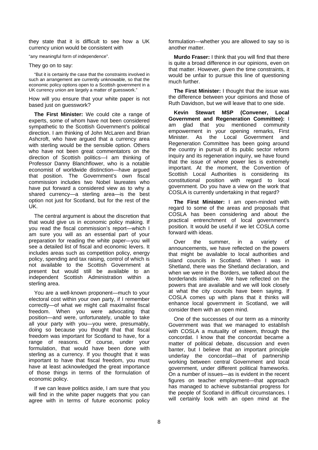they state that it is difficult to see how a UK currency union would be consistent with

"any meaningful form of independence".

They go on to say:

"But it is certainly the case that the constraints involved in such an arrangement are currently unknowable, so that the economic policy options open to a Scottish government in a UK currency union are largely a matter of guesswork."

How will you ensure that your white paper is not based just on guesswork?

**The First Minister:** We could cite a range of experts, some of whom have not been considered sympathetic to the Scottish Government's political direction. I am thinking of John McLaren and Brian Ashcroft, who have argued that a currency area with sterling would be the sensible option. Others who have not been great commentators on the direction of Scottish politics—I am thinking of Professor Danny Blanchflower, who is a notable economist of worldwide distinction—have argued that position. The Government's own fiscal commission includes two Nobel laureates who have put forward a considered view as to why a shared currency—a sterling area—is the best option not just for Scotland, but for the rest of the UK.

The central argument is about the discretion that that would give us in economic policy making. If you read the fiscal commission's report—which I am sure you will as an essential part of your preparation for reading the white paper—you will see a detailed list of fiscal and economic levers. It includes areas such as competition policy, energy policy, spending and tax raising, control of which is not available to the Scottish Government at present but would still be available to an independent Scottish Administration within a sterling area.

You are a well-known proponent—much to your electoral cost within your own party, if I remember correctly—of what we might call maximalist fiscal freedom. When you were advocating that position—and were, unfortunately, unable to take all your party with you—you were, presumably, doing so because you thought that that fiscal freedom was important for Scotland to have, for a range of reasons. Of course, under your formulation, that would have been done with sterling as a currency. If you thought that it was important to have that fiscal freedom, you must have at least acknowledged the great importance of those things in terms of the formulation of economic policy.

If we can leave politics aside, I am sure that you will find in the white paper nuggets that you can agree with in terms of future economic policy

formulation—whether you are allowed to say so is another matter.

**Murdo Fraser:** I think that you will find that there is quite a broad difference in our opinions, even on that matter. However, given the time constraints, it would be unfair to pursue this line of questioning much further.

**The First Minister:** I thought that the issue was the difference between your opinions and those of Ruth Davidson, but we will leave that to one side.

**Kevin Stewart MSP (Convener, Local Government and Regeneration Committee):** I am glad that you mentioned community empowerment in your opening remarks, First Minister. As the Local Government and Regeneration Committee has been going around the country in pursuit of its public sector reform inquiry and its regeneration inquiry, we have found that the issue of where power lies is extremely important. At the moment, the Convention of Scottish Local Authorities is considering its constitutional position with regard to local government. Do you have a view on the work that COSLA is currently undertaking in that regard?

**The First Minister:** I am open-minded with regard to some of the areas and proposals that COSLA has been considering and about the practical entrenchment of local government's position. It would be useful if we let COSLA come forward with ideas.

Over the summer, in a variety of announcements, we have reflected on the powers that might be available to local authorities and island councils in Scotland. When I was in Shetland, there was the Shetland declaration, and when we were in the Borders, we talked about the borderlands initiative. We have reflected on the powers that are available and we will look closely at what the city councils have been saying. If COSLA comes up with plans that it thinks will enhance local government in Scotland, we will consider them with an open mind.

One of the successes of our term as a minority Government was that we managed to establish with COSLA a mutuality of esteem, through the concordat. I know that the concordat became a matter of political debate, discussion and even banter, but I believe that an important principle underlay the concordat—that of partnership working between central Government and local government, under different political frameworks. On a number of issues—as is evident in the recent figures on teacher employment—that approach has managed to achieve substantial progress for the people of Scotland in difficult circumstances. I will certainly look with an open mind at the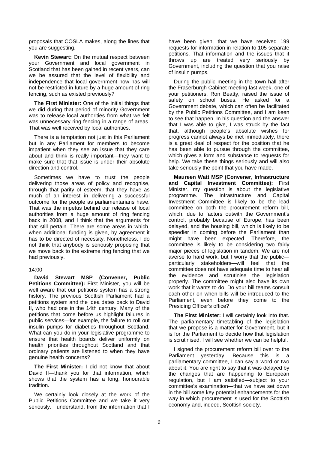proposals that COSLA makes, along the lines that you are suggesting.

**Kevin Stewart:** On the mutual respect between your Government and local government in Scotland that has been gained in recent years, can we be assured that the level of flexibility and independence that local government now has will not be restricted in future by a huge amount of ring fencing, such as existed previously?

**The First Minister:** One of the initial things that we did during that period of minority Government was to release local authorities from what we felt was unnecessary ring fencing in a range of areas. That was well received by local authorities.

There is a temptation not just in this Parliament but in any Parliament for members to become impatient when they see an issue that they care about and think is really important—they want to make sure that that issue is under their absolute direction and control.

Sometimes we have to trust the people delivering those areas of policy and recognise, through that parity of esteem, that they have as much of an interest in delivering a successful outcome for the people as parliamentarians have. That was the impetus behind our release of local authorities from a huge amount of ring fencing back in 2008, and I think that the arguments for that still pertain. There are some areas in which, when additional funding is given, by agreement it has to be directed of necessity. Nonetheless, I do not think that anybody is seriously proposing that we move back to the extreme ring fencing that we had previously.

#### 14:00

**David Stewart MSP (Convener, Public**  Petitions Committee): First Minister, you will be well aware that our petitions system has a strong history. The previous Scottish Parliament had a petitions system and the idea dates back to David II, who had one in the 14th century. Many of the petitions that come before us highlight failures in public services—for example, the failure to roll out insulin pumps for diabetics throughout Scotland. What can you do in your legislative programme to ensure that health boards deliver uniformly on health priorities throughout Scotland and that ordinary patients are listened to when they have genuine health concerns?

**The First Minister:** I did not know that about David II—thank you for that information, which shows that the system has a long, honourable tradition.

We certainly look closely at the work of the Public Petitions Committee and we take it very seriously. I understand, from the information that I have been given, that we have received 199 requests for information in relation to 105 separate petitions. That information and the issues that it throws up are treated very seriously by Government, including the question that you raise of insulin pumps.

During the public meeting in the town hall after the Fraserburgh Cabinet meeting last week, one of your petitioners, Ron Beatty, raised the issue of safety on school buses. He asked for a Government debate, which can often be facilitated by the Public Petitions Committee, and I am keen to see that happen. In his question and the answer that I was able to give, I was struck by the fact that, although people's absolute wishes for progress cannot always be met immediately, there is a great deal of respect for the position that he has been able to pursue through the committee, which gives a form and substance to requests for help. We take these things seriously and will also take seriously the point that you have made.

**Maureen Watt MSP (Convener, Infrastructure and Capital Investment Committee):** First Minister, my question is about the legislative programme. The Infrastructure and Capital Investment Committee is likely to be the lead committee on both the procurement reform bill, which, due to factors outwith the Government's control, probably because of Europe, has been delayed, and the housing bill, which is likely to be speedier in coming before the Parliament than might have been expected. Therefore, the committee is likely to be considering two fairly major pieces of legislation in tandem. We are not averse to hard work, but I worry that the public particularly stakeholders—will feel that the committee does not have adequate time to hear all the evidence and scrutinise the legislation properly. The committee might also have its own work that it wants to do. Do your bill teams consult each other on when bills will be introduced to the Parliament, even before they come to the Presiding Officer's office?

**The First Minister:** I will certainly look into that. The parliamentary timetabling of the legislation that we propose is a matter for Government, but it is for the Parliament to decide how that legislation is scrutinised. I will see whether we can be helpful.

I signed the procurement reform bill over to the Parliament yesterday. Because this is a parliamentary committee, I can say a word or two about it. You are right to say that it was delayed by the changes that are happening to European regulation, but I am satisfied—subject to your committee's examination—that we have set down in the bill some key potential enhancements for the way in which procurement is used for the Scottish economy and, indeed, Scottish society.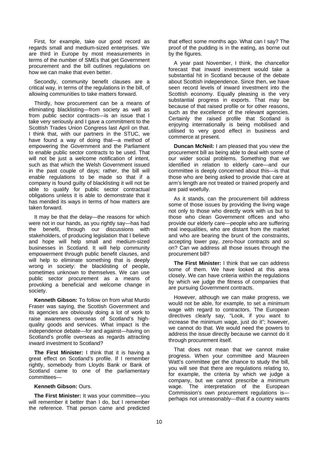First, for example, take our good record as regards small and medium-sized enterprises. We are third in Europe by most measurements in terms of the number of SMEs that get Government procurement and the bill outlines regulations on how we can make that even better.

Secondly, community benefit clauses are a critical way, in terms of the regulations in the bill, of allowing communities to take matters forward.

Thirdly, how procurement can be a means of eliminating blacklisting—from society as well as from public sector contracts—is an issue that I take very seriously and I gave a commitment to the Scottish Trades Union Congress last April on that. I think that, with our partners in the STUC, we have found a way of doing that—a method of empowering the Government and the Parliament to enable public sector contracts to be used. That will not be just a welcome notification of intent. such as that which the Welsh Government issued in the past couple of days; rather, the bill will enable regulations to be made so that if a company is found guilty of blacklisting it will not be able to qualify for public sector contractual obligations unless it is able to demonstrate that it has mended its ways in terms of how matters are taken forward.

It may be that the delay—the reasons for which were not in our hands, as you rightly say—has had the benefit, through our discussions with stakeholders, of producing legislation that I believe and hope will help small and medium-sized businesses in Scotland. It will help community empowerment through public benefit clauses, and will help to eliminate something that is deeply wrong in society: the blacklisting of people, sometimes unknown to themselves. We can use public sector procurement as a means of provoking a beneficial and welcome change in society.

**Kenneth Gibson:** To follow on from what Murdo Fraser was saying, the Scottish Government and its agencies are obviously doing a lot of work to raise awareness overseas of Scotland's highquality goods and services. What impact is the independence debate—for and against—having on Scotland's profile overseas as regards attracting inward investment to Scotland?

**The First Minister:** I think that it is having a great effect on Scotland's profile. If I remember rightly, somebody from Lloyds Bank or Bank of Scotland came to one of the parliamentary committees—

#### **Kenneth Gibson:** Ours.

**The First Minister:** It was your committee—you will remember it better than I do, but I remember the reference. That person came and predicted that effect some months ago. What can I say? The proof of the pudding is in the eating, as borne out by the figures.

A year past November, I think, the chancellor forecast that inward investment would take a substantial hit in Scotland because of the debate about Scottish independence. Since then, we have seen record levels of inward investment into the Scottish economy. Equally pleasing is the very substantial progress in exports. That may be because of that raised profile or for other reasons, such as the excellence of the relevant agencies. Certainly the raised profile that Scotland is enjoying internationally is being mobilised and utilised to very good effect in business and commerce at present.

**Duncan McNeil:** I am pleased that you view the procurement bill as being able to deal with some of our wider social problems. Something that we identified in relation to elderly care—and our committee is deeply concerned about this—is that those who are being asked to provide that care at arm's length are not treated or trained properly and are paid woefully.

As it stands, can the procurement bill address some of those issues by providing the living wage not only to those who directly work with us but to those who clean Government offices and who provide our elderly care—people who are suffering real inequalities, who are distant from the market and who are bearing the brunt of the constraints, accepting lower pay, zero-hour contracts and so on? Can we address all those issues through the procurement bill?

**The First Minister:** I think that we can address some of them. We have looked at this area closely. We can have criteria within the regulations by which we judge the fitness of companies that are pursuing Government contracts.

However, although we can make progress, we would not be able, for example, to set a minimum wage with regard to contractors. The European directives clearly say, "Look, if you want to increase the minimum wage, just do it"; however, we cannot do that. We would need the powers to address the issue directly because we cannot do it through procurement itself.

That does not mean that we cannot make progress. When your committee and Maureen Watt's committee get the chance to study the bill, you will see that there are regulations relating to, for example, the criteria by which we judge a company, but we cannot prescribe a minimum wage. The interpretation of the European Commission's own procurement regulations is perhaps not unreasonably—that if a country wants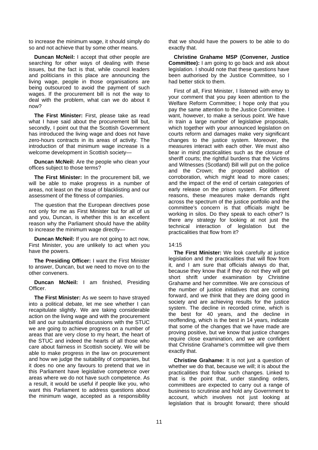to increase the minimum wage, it should simply do so and not achieve that by some other means.

**Duncan McNeil:** I accept that other people are searching for other ways of dealing with these issues, but the fact is that, while council leaders and politicians in this place are announcing the living wage, people in those organisations are being outsourced to avoid the payment of such wages. If the procurement bill is not the way to deal with the problem, what can we do about it now?

**The First Minister:** First, please take as read what I have said about the procurement bill but. secondly, I point out that the Scottish Government has introduced the living wage and does not have zero-hours contracts in its areas of activity. The introduction of that minimum wage increase is a welcome development in Scottish society—

**Duncan McNeil:** Are the people who clean your offices subject to those terms?

**The First Minister:** In the procurement bill, we will be able to make progress in a number of areas, not least on the issue of blacklisting and our assessment of the fitness of companies.

The question that the European directives pose not only for me as First Minister but for all of us and you, Duncan, is whether this is an excellent reason why the Parliament should have the ability to increase the minimum wage directly—

**Duncan McNeil:** If you are not going to act now, First Minister, you are unlikely to act when you have the powers.

**The Presiding Officer:** I want the First Minister to answer, Duncan, but we need to move on to the other conveners.

**Duncan McNeil:** I am finished, Presiding Officer.

**The First Minister:** As we seem to have strayed into a political debate, let me see whether I can recapitulate slightly. We are taking considerable action on the living wage and with the procurement bill and our substantial discussions with the STUC we are going to achieve progress on a number of areas that are very close to my heart, the heart of the STUC and indeed the hearts of all those who care about fairness in Scottish society. We will be able to make progress in the law on procurement and how we judge the suitability of companies, but it does no one any favours to pretend that we in this Parliament have legislative competence over areas where we do not have such competence. As a result, it would be useful if people like you, who want this Parliament to address questions about the minimum wage, accepted as a responsibility

that we should have the powers to be able to do exactly that.

**Christine Grahame MSP (Convener, Justice Committee):** I am going to go back and ask about legislation. I should note that these questions have been authorised by the Justice Committee, so I had better stick to them.

First of all, First Minister, I listened with envy to your comment that you pay keen attention to the Welfare Reform Committee; I hope only that you pay the same attention to the Justice Committee. I want, however, to make a serious point. We have in train a large number of legislative proposals, which together with your announced legislation on courts reform and damages make very significant changes to the justice system. Moreover, the measures interact with each other. We must also bear in mind practicalities such as the closure of sheriff courts; the rightful burdens that the Victims and Witnesses (Scotland) Bill will put on the police and the Crown; the proposed abolition of corroboration, which might lead to more cases; and the impact of the end of certain categories of early release on the prison system. For different reasons, these measures make demands right across the spectrum of the justice portfolio and the committee's concern is that officials might be working in silos. Do they speak to each other? Is there any strategy for looking at not just the technical interaction of legislation but the practicalities that flow from it?

#### 14:15

**The First Minister:** We look carefully at justice legislation and the practicalities that will flow from it, and I am sure that officials always do that, because they know that if they do not they will get short shrift under examination by Christine Grahame and her committee. We are conscious of the number of justice initiatives that are coming forward, and we think that they are doing good in society and are achieving results for the justice system. The decline in recorded crime, which is the best for 40 years, and the decline in reoffending, which is the best in 14 years, indicate that some of the changes that we have made are proving positive, but we know that justice changes require close examination, and we are confident that Christine Grahame's committee will give them exactly that.

**Christine Grahame:** It is not just a question of whether we do that, because we will; it is about the practicalities that follow such changes. Linked to that is the point that, under standing orders, committees are expected to carry out a range of business to scrutinise and hold any Government to account, which involves not just looking at legislation that is brought forward; there should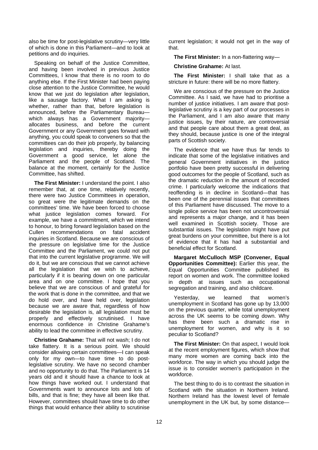also be time for post-legislative scrutiny—very little of which is done in this Parliament—and to look at petitions and do inquiries.

Speaking on behalf of the Justice Committee, and having been involved in previous Justice Committees, I know that there is no room to do anything else. If the First Minister had been paying close attention to the Justice Committee, he would know that we just do legislation after legislation, like a sausage factory. What I am asking is whether, rather than that, before legislation is announced, before the Parliamentary Bureau which always has a Government majorityallocates business, and before the current Government or any Government goes forward with anything, you could speak to conveners so that the committees can do their job properly, by balancing legislation and inquiries, thereby doing the Government a good service, let alone the Parliament and the people of Scotland. The balance at the moment, certainly for the Justice Committee, has shifted.

**The First Minister:** I understand the point. I also remember that, at one time, relatively recently, there were two Justice Committees in operation, so great were the legitimate demands on the committees' time. We have been forced to choose what justice legislation comes forward. For example, we have a commitment, which we intend to honour, to bring forward legislation based on the Cullen recommendations on fatal accident inquiries in Scotland. Because we are conscious of the pressure on legislative time for the Justice Committee and the Parliament, we could not put that into the current legislative programme. We will do it, but we are conscious that we cannot achieve all the legislation that we wish to achieve, particularly if it is bearing down on one particular area and on one committee. I hope that you believe that we are conscious of and grateful for the work that is done in the committee, and that we do hold over, and have held over, legislation because we are aware that, regardless of how desirable the legislation is, all legislation must be properly and effectively scrutinised. I have enormous confidence in Christine Grahame's ability to lead the committee in effective scrutiny.

**Christine Grahame:** That will not wash; I do not take flattery. It is a serious point. We should consider allowing certain committees—I can speak only for my own—to have time to do postlegislative scrutiny. We have no second chamber and no opportunity to do that. The Parliament is 14 years old and it should have a chance to look at how things have worked out. I understand that Governments want to announce lots and lots of bills, and that is fine; they have all been like that. However, committees should have time to do other things that would enhance their ability to scrutinise

current legislation; it would not get in the way of that.

**The First Minister:** In a non-flattering way—

**Christine Grahame:** At last.

**The First Minister:** I shall take that as a stricture in future: there will be no more flattery.

We are conscious of the pressure on the Justice Committee. As I said, we have had to prioritise a number of justice initiatives. I am aware that postlegislative scrutiny is a key part of our processes in the Parliament, and I am also aware that many justice issues, by their nature, are controversial and that people care about them a great deal, as they should, because justice is one of the integral parts of Scottish society.

The evidence that we have thus far tends to indicate that some of the legislative initiatives and general Government initiatives in the justice portfolio have been pretty successful in delivering good outcomes for the people of Scotland, such as the dramatic reduction in the amount of recorded crime. I particularly welcome the indications that reoffending is in decline in Scotland—that has been one of the perennial issues that committees of this Parliament have discussed. The move to a single police service has been not uncontroversial and represents a major change, and it has been well examined in Scottish society. Those are substantial issues. The legislation might have put great burdens on your committee, but there is a lot of evidence that it has had a substantial and beneficial effect for Scotland.

**Margaret McCulloch MSP (Convener, Equal Opportunities Committee):** Earlier this year, the Equal Opportunities Committee published its report on women and work. The committee looked in depth at issues such as occupational segregation and training, and also childcare.

Yesterday, we learned that women's unemployment in Scotland has gone up by 13,000 on the previous quarter, while total unemployment across the UK seems to be coming down. Why has there been such a dramatic rise in unemployment for women, and why is it so peculiar to Scotland?

**The First Minister:** On that aspect, I would look at the recent employment figures, which show that many more women are coming back into the workforce. The way in which you should judge the issue is to consider women's participation in the workforce.

The best thing to do is to contrast the situation in Scotland with the situation in Northern Ireland. Northern Ireland has the lowest level of female unemployment in the UK but, by some distance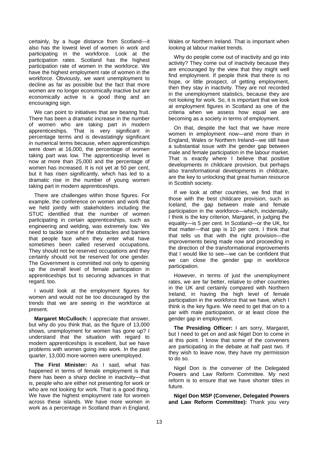certainly, by a huge distance from Scotland—it also has the lowest level of women in work and participating in the workforce. Look at the participation rates. Scotland has the highest participation rate of women in the workforce. We have the highest employment rate of women in the workforce. Obviously, we want unemployment to decline as far as possible but the fact that more women are no longer economically inactive but are economically active is a good thing and an encouraging sign.

We can point to initiatives that are bearing fruit. There has been a dramatic increase in the number of women who are taking part in modern apprenticeships. That is very significant in percentage terms and is devastatingly significant in numerical terms because, when apprenticeships were down at 16,000, the percentage of women taking part was low. The apprenticeship level is now at more than 25,000 and the percentage of women has increased. It is not yet at 50 per cent, but it has risen significantly, which has led to a dramatic rise in the number of young women taking part in modern apprenticeships.

There are challenges within those figures. For example, the conference on women and work that we held jointly with stakeholders including the STUC identified that the number of women participating in certain apprenticeships, such as engineering and welding, was extremely low. We need to tackle some of the obstacles and barriers that people face when they enter what have sometimes been called reserved occupations. They should not be reserved occupations and they certainly should not be reserved for one gender. The Government is committed not only to opening up the overall level of female participation in apprenticeships but to securing advances in that regard, too.

I would look at the employment figures for women and would not be too discouraged by the trends that we are seeing in the workforce at present.

**Margaret McCulloch:** I appreciate that answer, but why do you think that, as the figure of 13,000 shows, unemployment for women has gone up? I understand that the situation with regard to modern apprenticeships is excellent, but we have problems with women going into work. In the past quarter, 13,000 more women were unemployed.

**The First Minister:** As I said, what has happened in terms of female employment is that there has been a sharp decline in inactivity—that is, people who are either not presenting for work or who are not looking for work. That is a good thing. We have the highest employment rate for women across these islands. We have more women in work as a percentage in Scotland than in England,

Wales or Northern Ireland. That is important when looking at labour market trends.

Why do people come out of inactivity and go into activity? They come out of inactivity because they are encouraged by the view that they might well find employment. If people think that there is no hope, or little prospect, of getting employment, then they stay in inactivity. They are not recorded in the unemployment statistics, because they are not looking for work. So, it is important that we look at employment figures in Scotland as one of the criteria when we assess how equal we are becoming as a society in terms of employment.

On that, despite the fact that we have more women in employment now—and more than in England, Wales or Northern Ireland—we still have a substantial issue with the gender gap between male and female participation in the labour market. That is exactly where I believe that positive developments in childcare provision, but perhaps also transformational developments in childcare, are the key to unlocking that great human resource in Scottish society.

If we look at other countries, we find that in those with the best childcare provision, such as Iceland, the gap between male and female participation in the workforce—which, incidentally, I think is the key criterion, Margaret, in judging the equality—is 5 per cent. In Scotland—or the UK, for that matter—that gap is 10 per cent. I think that that tells us that with the right provision—the improvements being made now and proceeding in the direction of the transformational improvements that I would like to see—we can be confident that we can close the gender gap in workforce participation.

However, in terms of just the unemployment rates, we are far better, relative to other countries in the UK and certainly compared with Northern Ireland, in having the high level of female participation in the workforce that we have, which I think is the key figure. We need to get that on to a par with male participation, or at least close the gender gap in employment.

**The Presiding Officer:** I am sorry, Margaret, but I need to get on and ask Nigel Don to come in at this point. I know that some of the conveners are participating in the debate at half past two. If they wish to leave now, they have my permission to do so.

Nigel Don is the convener of the Delegated Powers and Law Reform Committee. My next reform is to ensure that we have shorter titles in future.

**Nigel Don MSP (Convener, Delegated Powers and Law Reform Committee):** Thank you very